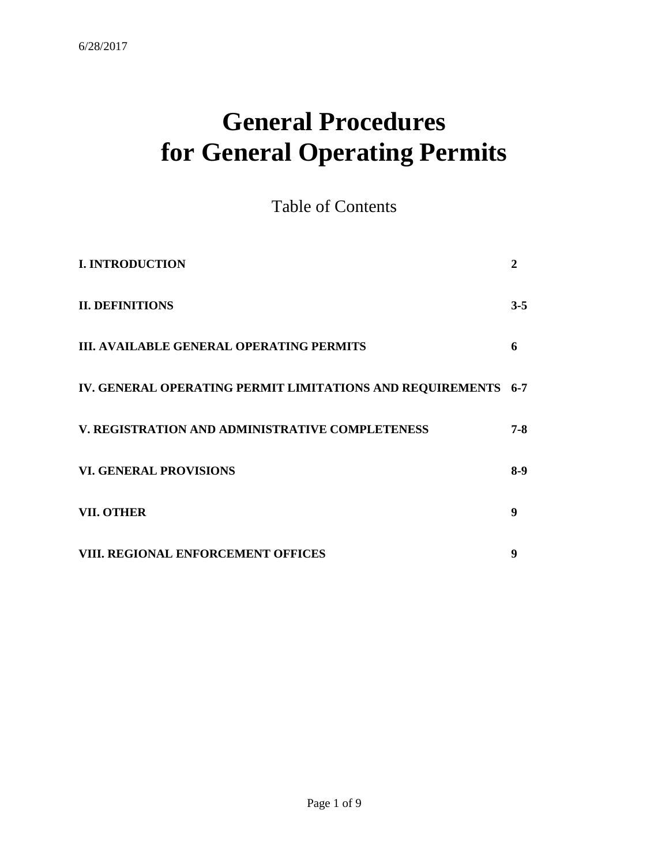# **General Procedures for General Operating Permits**

Table of Contents

| <b>I. INTRODUCTION</b>                                        |         |
|---------------------------------------------------------------|---------|
| <b>II. DEFINITIONS</b>                                        | $3 - 5$ |
| <b>III. AVAILABLE GENERAL OPERATING PERMITS</b>               | 6       |
| IV. GENERAL OPERATING PERMIT LIMITATIONS AND REQUIREMENTS 6-7 |         |
| V. REGISTRATION AND ADMINISTRATIVE COMPLETENESS               | $7 - 8$ |
| <b>VI. GENERAL PROVISIONS</b>                                 | $8-9$   |
| <b>VII. OTHER</b>                                             | 9       |
| <b>VIII. REGIONAL ENFORCEMENT OFFICES</b>                     | 9       |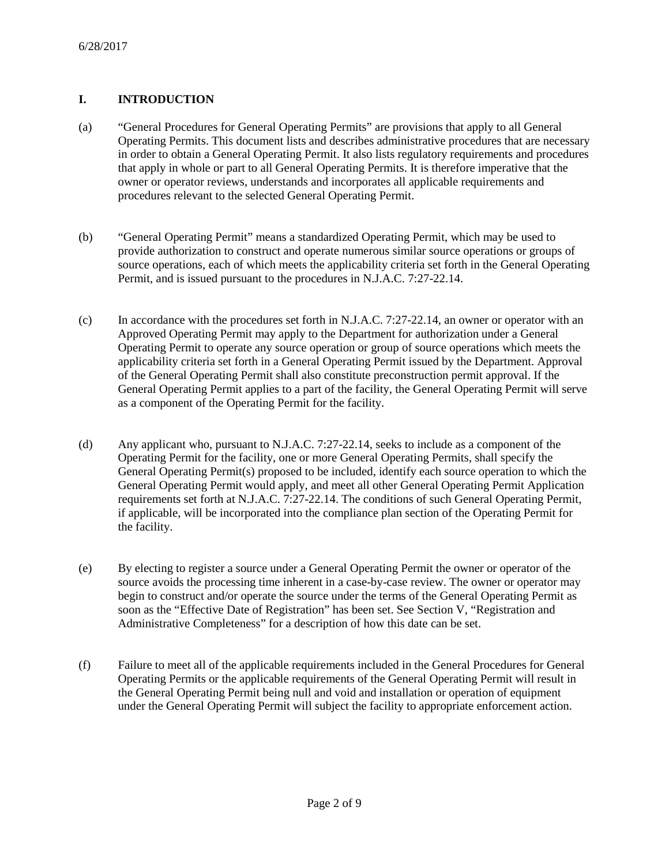# **I. INTRODUCTION**

- (a) "General Procedures for General Operating Permits" are provisions that apply to all General Operating Permits. This document lists and describes administrative procedures that are necessary in order to obtain a General Operating Permit. It also lists regulatory requirements and procedures that apply in whole or part to all General Operating Permits. It is therefore imperative that the owner or operator reviews, understands and incorporates all applicable requirements and procedures relevant to the selected General Operating Permit.
- (b) "General Operating Permit" means a standardized Operating Permit, which may be used to provide authorization to construct and operate numerous similar source operations or groups of source operations, each of which meets the applicability criteria set forth in the General Operating Permit, and is issued pursuant to the procedures in N.J.A.C. 7:27-22.14.
- (c) In accordance with the procedures set forth in N.J.A.C. 7:27-22.14, an owner or operator with an Approved Operating Permit may apply to the Department for authorization under a General Operating Permit to operate any source operation or group of source operations which meets the applicability criteria set forth in a General Operating Permit issued by the Department. Approval of the General Operating Permit shall also constitute preconstruction permit approval. If the General Operating Permit applies to a part of the facility, the General Operating Permit will serve as a component of the Operating Permit for the facility.
- (d) Any applicant who, pursuant to N.J.A.C. 7:27-22.14, seeks to include as a component of the Operating Permit for the facility, one or more General Operating Permits, shall specify the General Operating Permit(s) proposed to be included, identify each source operation to which the General Operating Permit would apply, and meet all other General Operating Permit Application requirements set forth at N.J.A.C. 7:27-22.14. The conditions of such General Operating Permit, if applicable, will be incorporated into the compliance plan section of the Operating Permit for the facility.
- (e) By electing to register a source under a General Operating Permit the owner or operator of the source avoids the processing time inherent in a case-by-case review. The owner or operator may begin to construct and/or operate the source under the terms of the General Operating Permit as soon as the "Effective Date of Registration" has been set. See Section V, "Registration and Administrative Completeness" for a description of how this date can be set.
- (f) Failure to meet all of the applicable requirements included in the General Procedures for General Operating Permits or the applicable requirements of the General Operating Permit will result in the General Operating Permit being null and void and installation or operation of equipment under the General Operating Permit will subject the facility to appropriate enforcement action.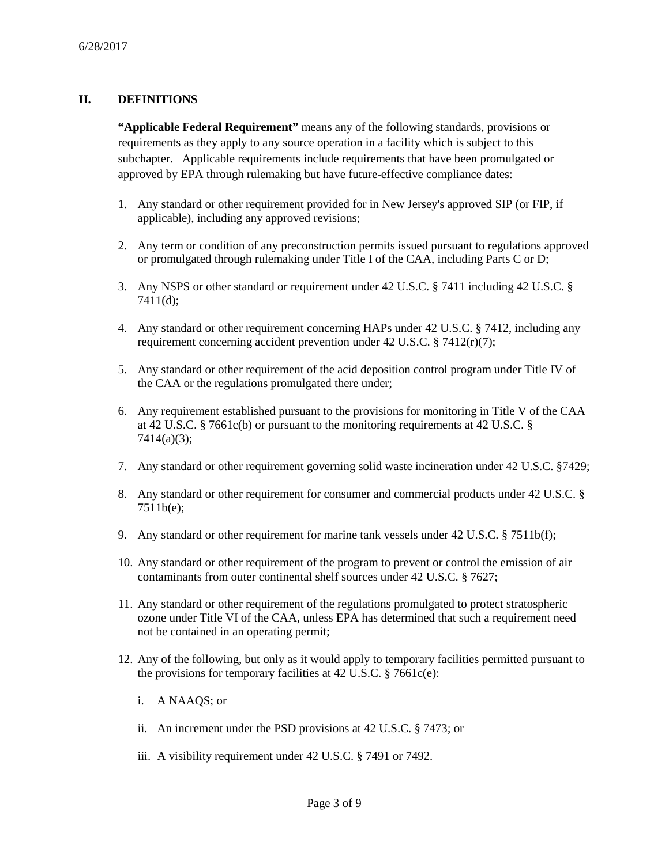## **II. DEFINITIONS**

**"Applicable Federal Requirement"** means any of the following standards, provisions or requirements as they apply to any source operation in a facility which is subject to this subchapter. Applicable requirements include requirements that have been promulgated or approved by EPA through rulemaking but have future-effective compliance dates:

- 1. Any standard or other requirement provided for in New Jersey's approved SIP (or FIP, if applicable), including any approved revisions;
- 2. Any term or condition of any preconstruction permits issued pursuant to regulations approved or promulgated through rulemaking under Title I of the CAA, including Parts C or D;
- 3. Any NSPS or other standard or requirement under 42 U.S.C. § 7411 including 42 U.S.C. § 7411(d);
- 4. Any standard or other requirement concerning HAPs under 42 U.S.C. § 7412, including any requirement concerning accident prevention under 42 U.S.C. § 7412(r)(7);
- 5. Any standard or other requirement of the acid deposition control program under Title IV of the CAA or the regulations promulgated there under;
- 6. Any requirement established pursuant to the provisions for monitoring in Title V of the CAA at 42 U.S.C. § 7661c(b) or pursuant to the monitoring requirements at 42 U.S.C. § 7414(a)(3);
- 7. Any standard or other requirement governing solid waste incineration under 42 U.S.C. §7429;
- 8. Any standard or other requirement for consumer and commercial products under 42 U.S.C. § 7511b(e);
- 9. Any standard or other requirement for marine tank vessels under 42 U.S.C. § 7511b(f);
- 10. Any standard or other requirement of the program to prevent or control the emission of air contaminants from outer continental shelf sources under 42 U.S.C. § 7627;
- 11. Any standard or other requirement of the regulations promulgated to protect stratospheric ozone under Title VI of the CAA, unless EPA has determined that such a requirement need not be contained in an operating permit;
- 12. Any of the following, but only as it would apply to temporary facilities permitted pursuant to the provisions for temporary facilities at 42 U.S.C.  $\S$  7661c(e):
	- i. A NAAQS; or
	- ii. An increment under the PSD provisions at 42 U.S.C. § 7473; or
	- iii. A visibility requirement under 42 U.S.C. § 7491 or 7492.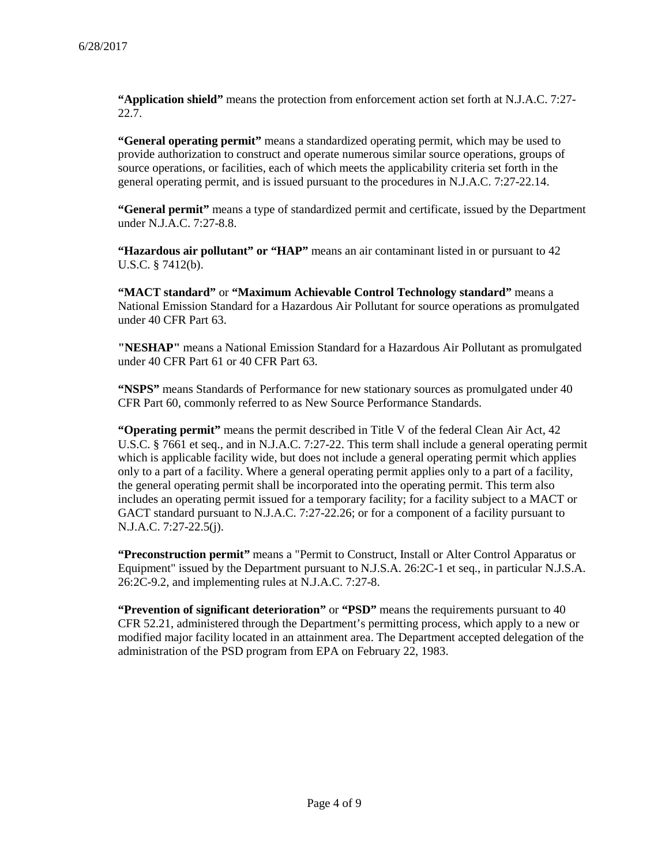**"Application shield"** means the protection from enforcement action set forth at N.J.A.C. 7:27- 22.7.

**"General operating permit"** means a standardized operating permit, which may be used to provide authorization to construct and operate numerous similar source operations, groups of source operations, or facilities, each of which meets the applicability criteria set forth in the general operating permit, and is issued pursuant to the procedures in N.J.A.C. 7:27-22.14.

**"General permit"** means a type of standardized permit and certificate, issued by the Department under N.J.A.C. 7:27-8.8.

**"Hazardous air pollutant" or "HAP"** means an air contaminant listed in or pursuant to 42 U.S.C. § 7412(b).

**"MACT standard"** or **"Maximum Achievable Control Technology standard"** means a National Emission Standard for a Hazardous Air Pollutant for source operations as promulgated under 40 CFR Part 63.

**"NESHAP"** means a National Emission Standard for a Hazardous Air Pollutant as promulgated under 40 CFR Part 61 or 40 CFR Part 63.

**"NSPS"** means Standards of Performance for new stationary sources as promulgated under 40 CFR Part 60, commonly referred to as New Source Performance Standards.

**"Operating permit"** means the permit described in Title V of the federal Clean Air Act, 42 U.S.C. § 7661 et seq., and in N.J.A.C. 7:27-22. This term shall include a general operating permit which is applicable facility wide, but does not include a general operating permit which applies only to a part of a facility. Where a general operating permit applies only to a part of a facility, the general operating permit shall be incorporated into the operating permit. This term also includes an operating permit issued for a temporary facility; for a facility subject to a MACT or GACT standard pursuant to N.J.A.C. 7:27-22.26; or for a component of a facility pursuant to N.J.A.C. 7:27-22.5(j).

**"Preconstruction permit"** means a "Permit to Construct, Install or Alter Control Apparatus or Equipment" issued by the Department pursuant to N.J.S.A. 26:2C-1 et seq., in particular N.J.S.A. 26:2C-9.2, and implementing rules at N.J.A.C. 7:27-8.

**"Prevention of significant deterioration"** or **"PSD"** means the requirements pursuant to 40 CFR 52.21, administered through the Department's permitting process, which apply to a new or modified major facility located in an attainment area. The Department accepted delegation of the administration of the PSD program from EPA on February 22, 1983.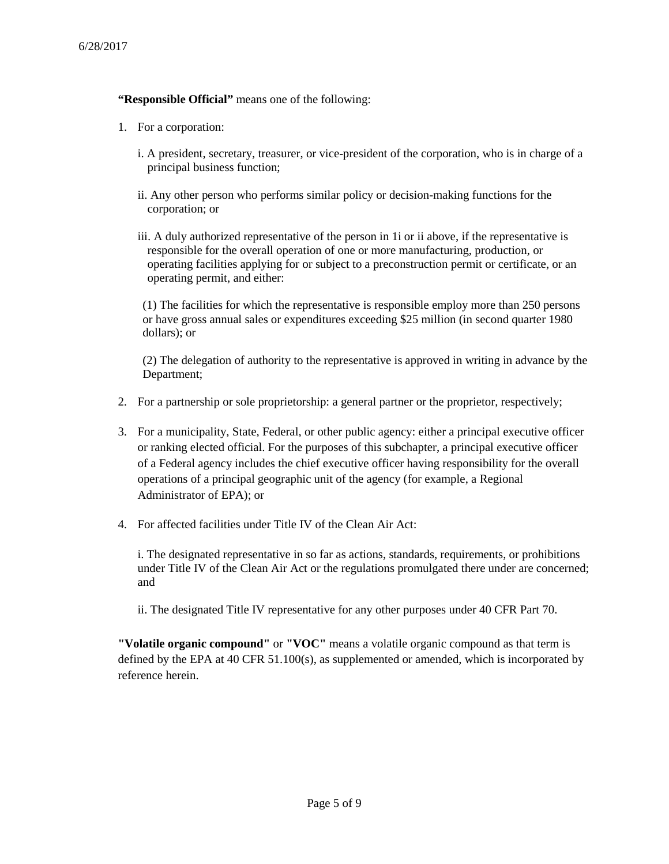## **"Responsible Official"** means one of the following:

- 1. For a corporation:
	- i. A president, secretary, treasurer, or vice-president of the corporation, who is in charge of a principal business function;
	- ii. Any other person who performs similar policy or decision-making functions for the corporation; or
	- iii. A duly authorized representative of the person in 1i or ii above, if the representative is responsible for the overall operation of one or more manufacturing, production, or operating facilities applying for or subject to a preconstruction permit or certificate, or an operating permit, and either:

(1) The facilities for which the representative is responsible employ more than 250 persons or have gross annual sales or expenditures exceeding \$25 million (in second quarter 1980 dollars); or

(2) The delegation of authority to the representative is approved in writing in advance by the Department;

- 2. For a partnership or sole proprietorship: a general partner or the proprietor, respectively;
- 3. For a municipality, State, Federal, or other public agency: either a principal executive officer or ranking elected official. For the purposes of this subchapter, a principal executive officer of a Federal agency includes the chief executive officer having responsibility for the overall operations of a principal geographic unit of the agency (for example, a Regional Administrator of EPA); or
- 4. For affected facilities under Title IV of the Clean Air Act:

i. The designated representative in so far as actions, standards, requirements, or prohibitions under Title IV of the Clean Air Act or the regulations promulgated there under are concerned; and

ii. The designated Title IV representative for any other purposes under 40 CFR Part 70.

**"Volatile organic compound"** or **"VOC"** means a volatile organic compound as that term is defined by the EPA at 40 CFR 51.100(s), as supplemented or amended, which is incorporated by reference herein.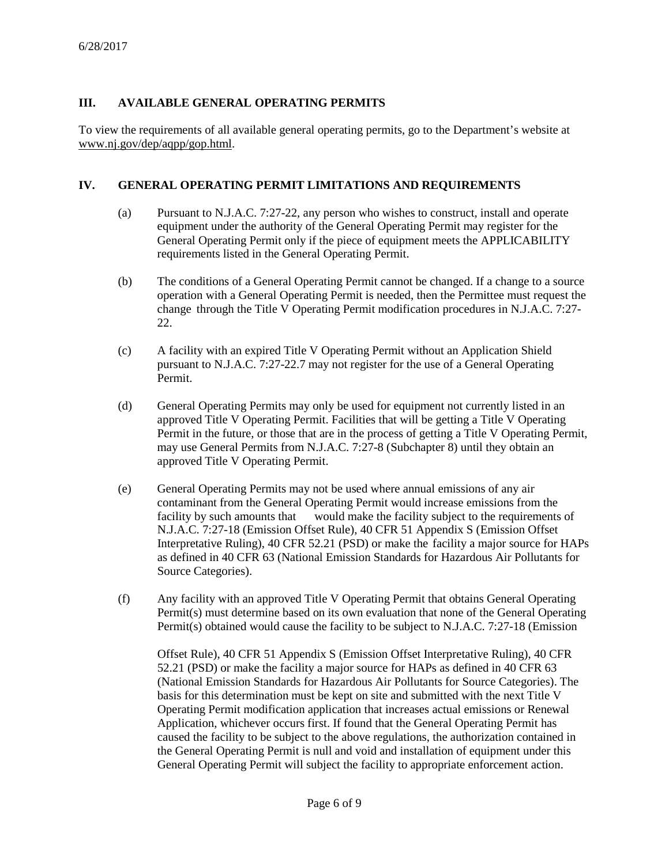## **III. AVAILABLE GENERAL OPERATING PERMITS**

To view the requirements of all available general operating permits, go to the Department's website at www.nj.gov/dep/aqpp/gop.html.

#### **IV. GENERAL OPERATING PERMIT LIMITATIONS AND REQUIREMENTS**

- (a) Pursuant to N.J.A.C. 7:27-22, any person who wishes to construct, install and operate equipment under the authority of the General Operating Permit may register for the General Operating Permit only if the piece of equipment meets the APPLICABILITY requirements listed in the General Operating Permit.
- (b) The conditions of a General Operating Permit cannot be changed. If a change to a source operation with a General Operating Permit is needed, then the Permittee must request the change through the Title V Operating Permit modification procedures in N.J.A.C. 7:27- 22.
- (c) A facility with an expired Title V Operating Permit without an Application Shield pursuant to N.J.A.C. 7:27-22.7 may not register for the use of a General Operating Permit.
- (d) General Operating Permits may only be used for equipment not currently listed in an approved Title V Operating Permit. Facilities that will be getting a Title V Operating Permit in the future, or those that are in the process of getting a Title V Operating Permit, may use General Permits from N.J.A.C. 7:27-8 (Subchapter 8) until they obtain an approved Title V Operating Permit.
- (e) General Operating Permits may not be used where annual emissions of any air contaminant from the General Operating Permit would increase emissions from the facility by such amounts that would make the facility subject to the requirements of N.J.A.C. 7:27-18 (Emission Offset Rule), 40 CFR 51 Appendix S (Emission Offset Interpretative Ruling), 40 CFR 52.21 (PSD) or make the facility a major source for HAPs as defined in 40 CFR 63 (National Emission Standards for Hazardous Air Pollutants for Source Categories).
- (f) Any facility with an approved Title V Operating Permit that obtains General Operating Permit(s) must determine based on its own evaluation that none of the General Operating Permit(s) obtained would cause the facility to be subject to N.J.A.C. 7:27-18 (Emission

Offset Rule), 40 CFR 51 Appendix S (Emission Offset Interpretative Ruling), 40 CFR 52.21 (PSD) or make the facility a major source for HAPs as defined in 40 CFR 63 (National Emission Standards for Hazardous Air Pollutants for Source Categories). The basis for this determination must be kept on site and submitted with the next Title V Operating Permit modification application that increases actual emissions or Renewal Application, whichever occurs first. If found that the General Operating Permit has caused the facility to be subject to the above regulations, the authorization contained in the General Operating Permit is null and void and installation of equipment under this General Operating Permit will subject the facility to appropriate enforcement action.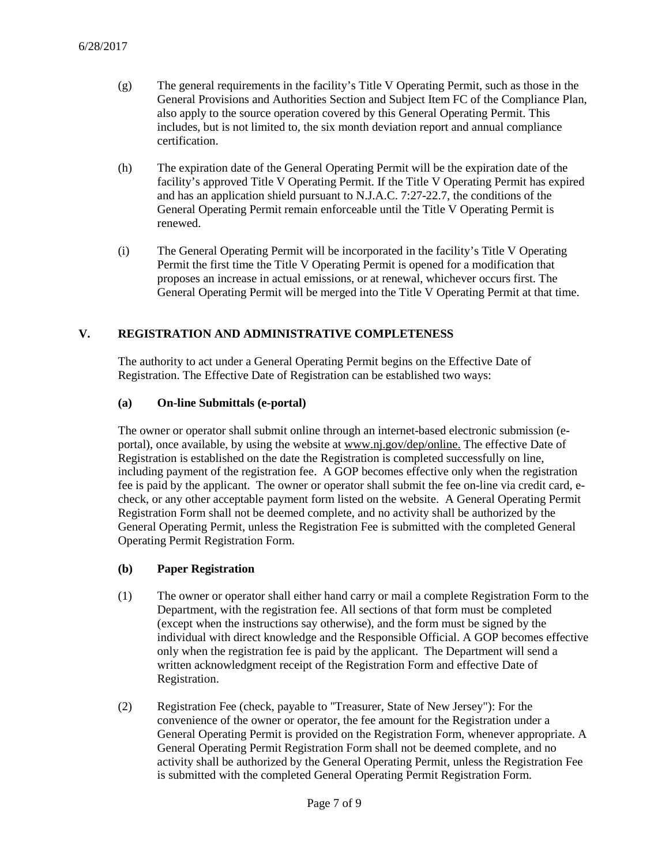- (g) The general requirements in the facility's Title V Operating Permit, such as those in the General Provisions and Authorities Section and Subject Item FC of the Compliance Plan, also apply to the source operation covered by this General Operating Permit. This includes, but is not limited to, the six month deviation report and annual compliance certification.
- (h) The expiration date of the General Operating Permit will be the expiration date of the facility's approved Title V Operating Permit. If the Title V Operating Permit has expired and has an application shield pursuant to N.J.A.C. 7:27-22.7, the conditions of the General Operating Permit remain enforceable until the Title V Operating Permit is renewed.
- (i) The General Operating Permit will be incorporated in the facility's Title V Operating Permit the first time the Title V Operating Permit is opened for a modification that proposes an increase in actual emissions, or at renewal, whichever occurs first. The General Operating Permit will be merged into the Title V Operating Permit at that time.

## **V. REGISTRATION AND ADMINISTRATIVE COMPLETENESS**

The authority to act under a General Operating Permit begins on the Effective Date of Registration. The Effective Date of Registration can be established two ways:

#### **(a) On-line Submittals (e-portal)**

The owner or operator shall submit online through an internet-based electronic submission (eportal), once available, by using the website at www.nj.gov/dep/online. The effective Date of Registration is established on the date the Registration is completed successfully on line, including payment of the registration fee. A GOP becomes effective only when the registration fee is paid by the applicant. The owner or operator shall submit the fee on-line via credit card, echeck, or any other acceptable payment form listed on the website. A General Operating Permit Registration Form shall not be deemed complete, and no activity shall be authorized by the General Operating Permit, unless the Registration Fee is submitted with the completed General Operating Permit Registration Form.

#### **(b) Paper Registration**

- (1) The owner or operator shall either hand carry or mail a complete Registration Form to the Department, with the registration fee. All sections of that form must be completed (except when the instructions say otherwise), and the form must be signed by the individual with direct knowledge and the Responsible Official. A GOP becomes effective only when the registration fee is paid by the applicant. The Department will send a written acknowledgment receipt of the Registration Form and effective Date of Registration.
- (2) Registration Fee (check, payable to "Treasurer, State of New Jersey"): For the convenience of the owner or operator, the fee amount for the Registration under a General Operating Permit is provided on the Registration Form, whenever appropriate. A General Operating Permit Registration Form shall not be deemed complete, and no activity shall be authorized by the General Operating Permit, unless the Registration Fee is submitted with the completed General Operating Permit Registration Form.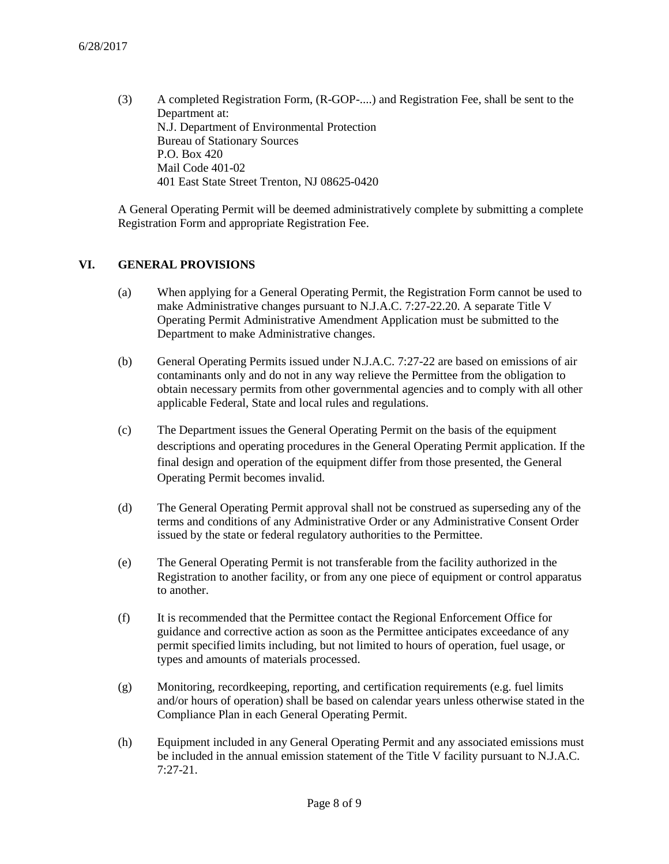(3) A completed Registration Form, (R-GOP-....) and Registration Fee, shall be sent to the Department at: N.J. Department of Environmental Protection Bureau of Stationary Sources P.O. Box 420 Mail Code 401-02 401 East State Street Trenton, NJ 08625-0420

A General Operating Permit will be deemed administratively complete by submitting a complete Registration Form and appropriate Registration Fee.

#### **VI. GENERAL PROVISIONS**

- (a) When applying for a General Operating Permit, the Registration Form cannot be used to make Administrative changes pursuant to N.J.A.C. 7:27-22.20. A separate Title V Operating Permit Administrative Amendment Application must be submitted to the Department to make Administrative changes.
- (b) General Operating Permits issued under N.J.A.C. 7:27-22 are based on emissions of air contaminants only and do not in any way relieve the Permittee from the obligation to obtain necessary permits from other governmental agencies and to comply with all other applicable Federal, State and local rules and regulations.
- (c) The Department issues the General Operating Permit on the basis of the equipment descriptions and operating procedures in the General Operating Permit application. If the final design and operation of the equipment differ from those presented, the General Operating Permit becomes invalid.
- (d) The General Operating Permit approval shall not be construed as superseding any of the terms and conditions of any Administrative Order or any Administrative Consent Order issued by the state or federal regulatory authorities to the Permittee.
- (e) The General Operating Permit is not transferable from the facility authorized in the Registration to another facility, or from any one piece of equipment or control apparatus to another.
- (f) It is recommended that the Permittee contact the Regional Enforcement Office for guidance and corrective action as soon as the Permittee anticipates exceedance of any permit specified limits including, but not limited to hours of operation, fuel usage, or types and amounts of materials processed.
- (g) Monitoring, recordkeeping, reporting, and certification requirements (e.g. fuel limits and/or hours of operation) shall be based on calendar years unless otherwise stated in the Compliance Plan in each General Operating Permit.
- (h) Equipment included in any General Operating Permit and any associated emissions must be included in the annual emission statement of the Title V facility pursuant to N.J.A.C. 7:27-21.